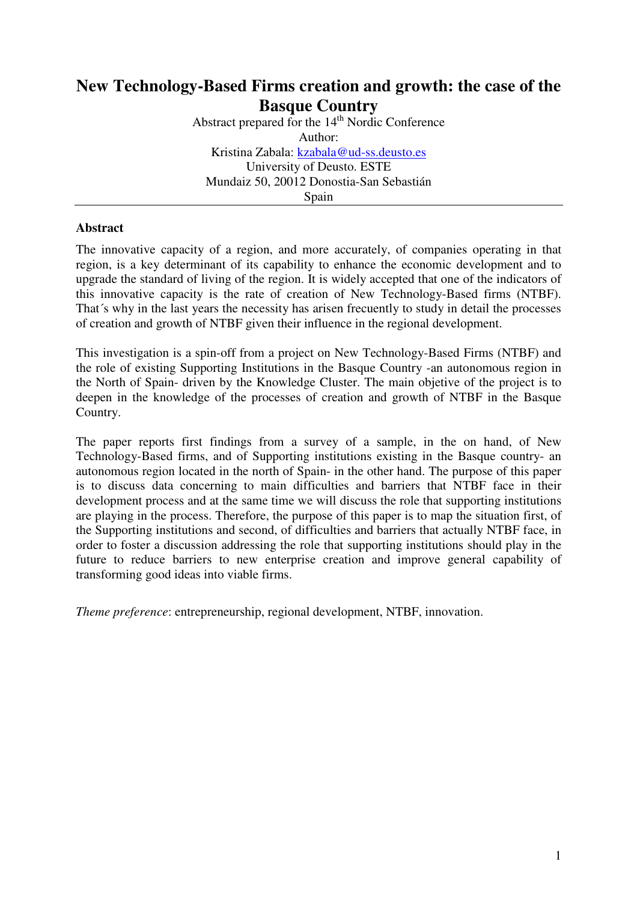# **New Technology-Based Firms creation and growth: the case of the Basque Country**

Abstract prepared for the 14<sup>th</sup> Nordic Conference Author: Kristina Zabala: kzabala@ud-ss.deusto.es University of Deusto. ESTE Mundaiz 50, 20012 Donostia-San Sebastián **Spain** 

### **Abstract**

The innovative capacity of a region, and more accurately, of companies operating in that region, is a key determinant of its capability to enhance the economic development and to upgrade the standard of living of the region. It is widely accepted that one of the indicators of this innovative capacity is the rate of creation of New Technology-Based firms (NTBF). That´s why in the last years the necessity has arisen frecuently to study in detail the processes of creation and growth of NTBF given their influence in the regional development.

This investigation is a spin-off from a project on New Technology-Based Firms (NTBF) and the role of existing Supporting Institutions in the Basque Country -an autonomous region in the North of Spain- driven by the Knowledge Cluster. The main objetive of the project is to deepen in the knowledge of the processes of creation and growth of NTBF in the Basque Country.

The paper reports first findings from a survey of a sample, in the on hand, of New Technology-Based firms, and of Supporting institutions existing in the Basque country- an autonomous region located in the north of Spain- in the other hand. The purpose of this paper is to discuss data concerning to main difficulties and barriers that NTBF face in their development process and at the same time we will discuss the role that supporting institutions are playing in the process. Therefore, the purpose of this paper is to map the situation first, of the Supporting institutions and second, of difficulties and barriers that actually NTBF face, in order to foster a discussion addressing the role that supporting institutions should play in the future to reduce barriers to new enterprise creation and improve general capability of transforming good ideas into viable firms.

*Theme preference*: entrepreneurship, regional development, NTBF, innovation.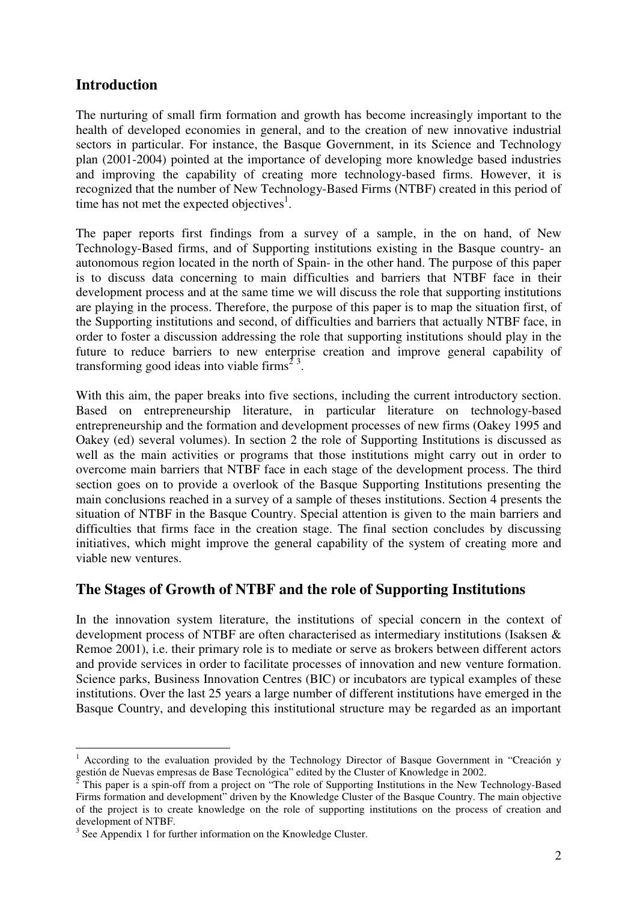# **Introduction**

The nurturing of small firm formation and growth has become increasingly important to the health of developed economies in general, and to the creation of new innovative industrial sectors in particular. For instance, the Basque Government, in its Science and Technology plan (2001-2004) pointed at the importance of developing more knowledge based industries and improving the capability of creating more technology-based firms. However, it is recognized that the number of New Technology-Based Firms (NTBF) created in this period of time has not met the expected objectives $<sup>1</sup>$ .</sup>

The paper reports first findings from a survey of a sample, in the on hand, of New Technology-Based firms, and of Supporting institutions existing in the Basque country- an autonomous region located in the north of Spain- in the other hand. The purpose of this paper is to discuss data concerning to main difficulties and barriers that NTBF face in their development process and at the same time we will discuss the role that supporting institutions are playing in the process. Therefore, the purpose of this paper is to map the situation first, of the Supporting institutions and second, of difficulties and barriers that actually NTBF face, in order to foster a discussion addressing the role that supporting institutions should play in the future to reduce barriers to new enterprise creation and improve general capability of transforming good ideas into viable firms<sup> $2<sup>3</sup>$ .</sup>

With this aim, the paper breaks into five sections, including the current introductory section. Based on entrepreneurship literature, in particular literature on technology-based entrepreneurship and the formation and development processes of new firms (Oakey 1995 and Oakey (ed) several volumes). In section 2 the role of Supporting Institutions is discussed as well as the main activities or programs that those institutions might carry out in order to overcome main barriers that NTBF face in each stage of the development process. The third section goes on to provide a overlook of the Basque Supporting Institutions presenting the main conclusions reached in a survey of a sample of theses institutions. Section 4 presents the situation of NTBF in the Basque Country. Special attention is given to the main barriers and difficulties that firms face in the creation stage. The final section concludes by discussing initiatives, which might improve the general capability of the system of creating more and viable new ventures.

# **The Stages of Growth of NTBF and the role of Supporting Institutions**

In the innovation system literature, the institutions of special concern in the context of development process of NTBF are often characterised as intermediary institutions (Isaksen & Remoe 2001), i.e. their primary role is to mediate or serve as brokers between different actors and provide services in order to facilitate processes of innovation and new venture formation. Science parks, Business Innovation Centres (BIC) or incubators are typical examples of these institutions. Over the last 25 years a large number of different institutions have emerged in the Basque Country, and developing this institutional structure may be regarded as an important

<sup>1</sup> According to the evaluation provided by the Technology Director of Basque Government in "Creación y gestión de Nuevas empresas de Base Tecnológica" edited by the Cluster of Knowledge in 2002.

<sup>2</sup> This paper is a spin-off from a project on "The role of Supporting Institutions in the New Technology-Based Firms formation and development" driven by the Knowledge Cluster of the Basque Country. The main objective of the project is to create knowledge on the role of supporting institutions on the process of creation and development of NTBF.

<sup>&</sup>lt;sup>3</sup> See Appendix 1 for further information on the Knowledge Cluster.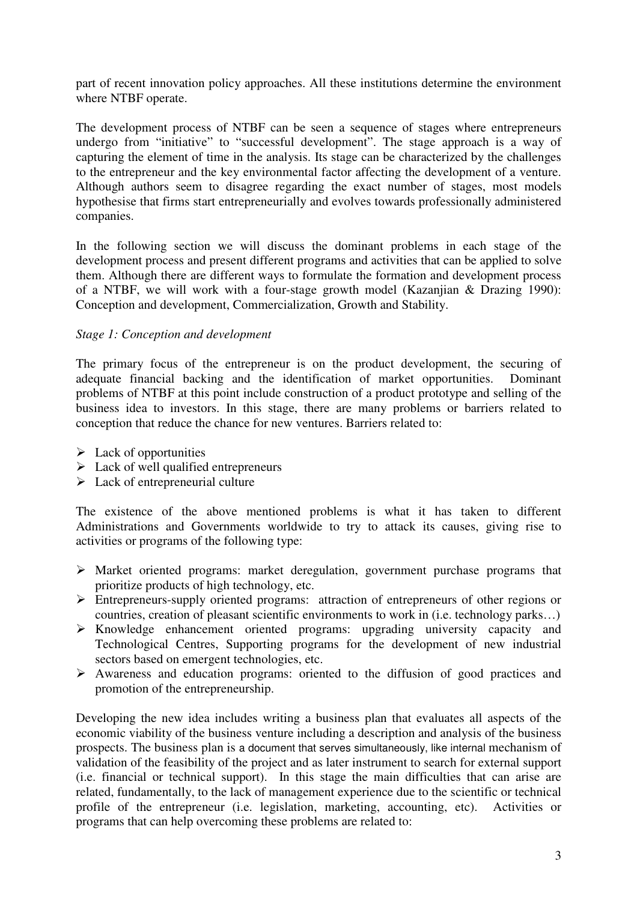part of recent innovation policy approaches. All these institutions determine the environment where NTBF operate.

The development process of NTBF can be seen a sequence of stages where entrepreneurs undergo from "initiative" to "successful development". The stage approach is a way of capturing the element of time in the analysis. Its stage can be characterized by the challenges to the entrepreneur and the key environmental factor affecting the development of a venture. Although authors seem to disagree regarding the exact number of stages, most models hypothesise that firms start entrepreneurially and evolves towards professionally administered companies.

In the following section we will discuss the dominant problems in each stage of the development process and present different programs and activities that can be applied to solve them. Although there are different ways to formulate the formation and development process of a NTBF, we will work with a four-stage growth model (Kazanjian & Drazing 1990): Conception and development, Commercialization, Growth and Stability.

#### *Stage 1: Conception and development*

The primary focus of the entrepreneur is on the product development, the securing of adequate financial backing and the identification of market opportunities. Dominant problems of NTBF at this point include construction of a product prototype and selling of the business idea to investors. In this stage, there are many problems or barriers related to conception that reduce the chance for new ventures. Barriers related to:

- $\triangleright$  Lack of opportunities
- $\triangleright$  Lack of well qualified entrepreneurs
- $\triangleright$  Lack of entrepreneurial culture

The existence of the above mentioned problems is what it has taken to different Administrations and Governments worldwide to try to attack its causes, giving rise to activities or programs of the following type:

- $\triangleright$  Market oriented programs: market deregulation, government purchase programs that prioritize products of high technology, etc.
- Entrepreneurs-supply oriented programs: attraction of entrepreneurs of other regions or countries, creation of pleasant scientific environments to work in (i.e. technology parks…)
- $\triangleright$  Knowledge enhancement oriented programs: upgrading university capacity and Technological Centres, Supporting programs for the development of new industrial sectors based on emergent technologies, etc.
- $\triangleright$  Awareness and education programs: oriented to the diffusion of good practices and promotion of the entrepreneurship.

Developing the new idea includes writing a business plan that evaluates all aspects of the economic viability of the business venture including a description and analysis of the business prospects. The business plan is a document that serves simultaneously, like internal mechanism of validation of the feasibility of the project and as later instrument to search for external support (i.e. financial or technical support). In this stage the main difficulties that can arise are related, fundamentally, to the lack of management experience due to the scientific or technical profile of the entrepreneur (i.e. legislation, marketing, accounting, etc). Activities or programs that can help overcoming these problems are related to: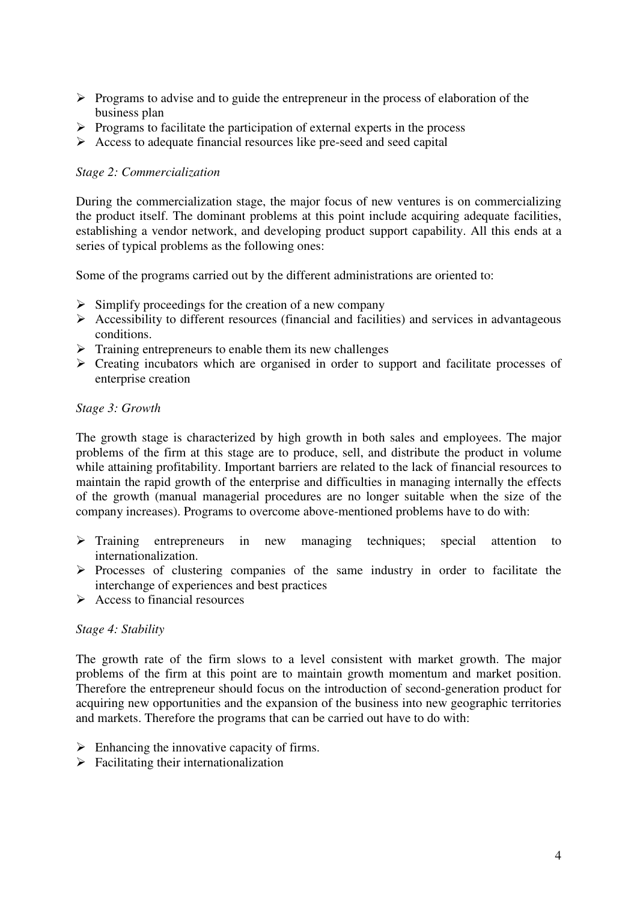- $\triangleright$  Programs to advise and to guide the entrepreneur in the process of elaboration of the business plan
- $\triangleright$  Programs to facilitate the participation of external experts in the process
- $\triangleright$  Access to adequate financial resources like pre-seed and seed capital

#### *Stage 2: Commercialization*

During the commercialization stage, the major focus of new ventures is on commercializing the product itself. The dominant problems at this point include acquiring adequate facilities, establishing a vendor network, and developing product support capability. All this ends at a series of typical problems as the following ones:

Some of the programs carried out by the different administrations are oriented to:

- $\triangleright$  Simplify proceedings for the creation of a new company
- $\triangleright$  Accessibility to different resources (financial and facilities) and services in advantageous conditions.
- $\triangleright$  Training entrepreneurs to enable them its new challenges
- $\triangleright$  Creating incubators which are organised in order to support and facilitate processes of enterprise creation

#### *Stage 3: Growth*

The growth stage is characterized by high growth in both sales and employees. The major problems of the firm at this stage are to produce, sell, and distribute the product in volume while attaining profitability. Important barriers are related to the lack of financial resources to maintain the rapid growth of the enterprise and difficulties in managing internally the effects of the growth (manual managerial procedures are no longer suitable when the size of the company increases). Programs to overcome above-mentioned problems have to do with:

- > Training entrepreneurs in new managing techniques; special attention to internationalization.
- $\triangleright$  Processes of clustering companies of the same industry in order to facilitate the interchange of experiences and best practices
- $\triangleright$  Access to financial resources

#### *Stage 4: Stability*

The growth rate of the firm slows to a level consistent with market growth. The major problems of the firm at this point are to maintain growth momentum and market position. Therefore the entrepreneur should focus on the introduction of second-generation product for acquiring new opportunities and the expansion of the business into new geographic territories and markets. Therefore the programs that can be carried out have to do with:

- $\triangleright$  Enhancing the innovative capacity of firms.
- $\triangleright$  Facilitating their internationalization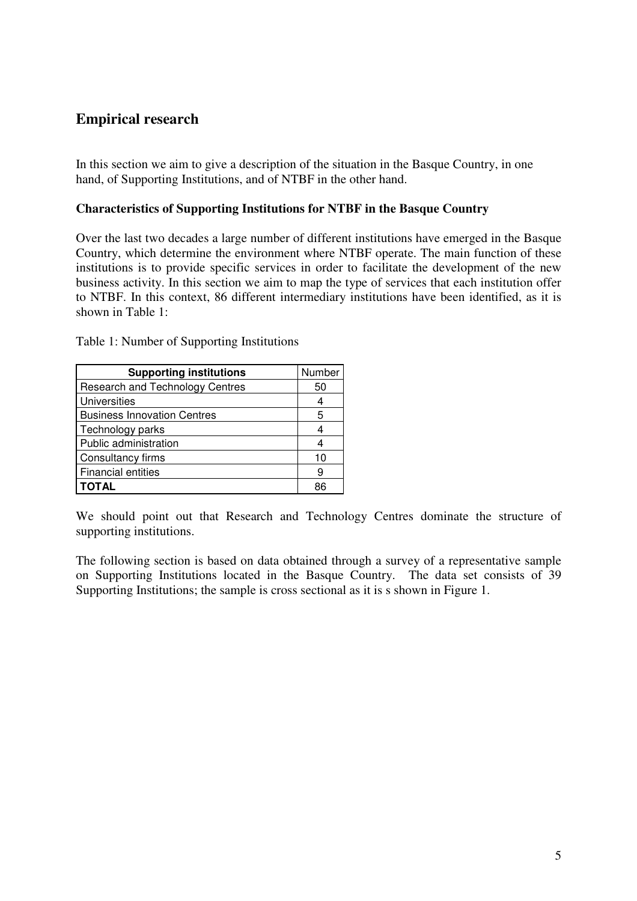# **Empirical research**

In this section we aim to give a description of the situation in the Basque Country, in one hand, of Supporting Institutions, and of NTBF in the other hand.

#### **Characteristics of Supporting Institutions for NTBF in the Basque Country**

Over the last two decades a large number of different institutions have emerged in the Basque Country, which determine the environment where NTBF operate. The main function of these institutions is to provide specific services in order to facilitate the development of the new business activity. In this section we aim to map the type of services that each institution offer to NTBF. In this context, 86 different intermediary institutions have been identified, as it is shown in Table 1:

| <b>Supporting institutions</b>         | Number |
|----------------------------------------|--------|
| <b>Research and Technology Centres</b> | 50     |
| <b>Universities</b>                    |        |
| <b>Business Innovation Centres</b>     | 5      |
| Technology parks                       | 4      |
| Public administration                  | 4      |
| <b>Consultancy firms</b>               | 10     |
| Financial entities                     | 9      |
| <b>TOTAL</b>                           | 86     |

Table 1: Number of Supporting Institutions

We should point out that Research and Technology Centres dominate the structure of supporting institutions.

The following section is based on data obtained through a survey of a representative sample on Supporting Institutions located in the Basque Country. The data set consists of 39 Supporting Institutions; the sample is cross sectional as it is s shown in Figure 1.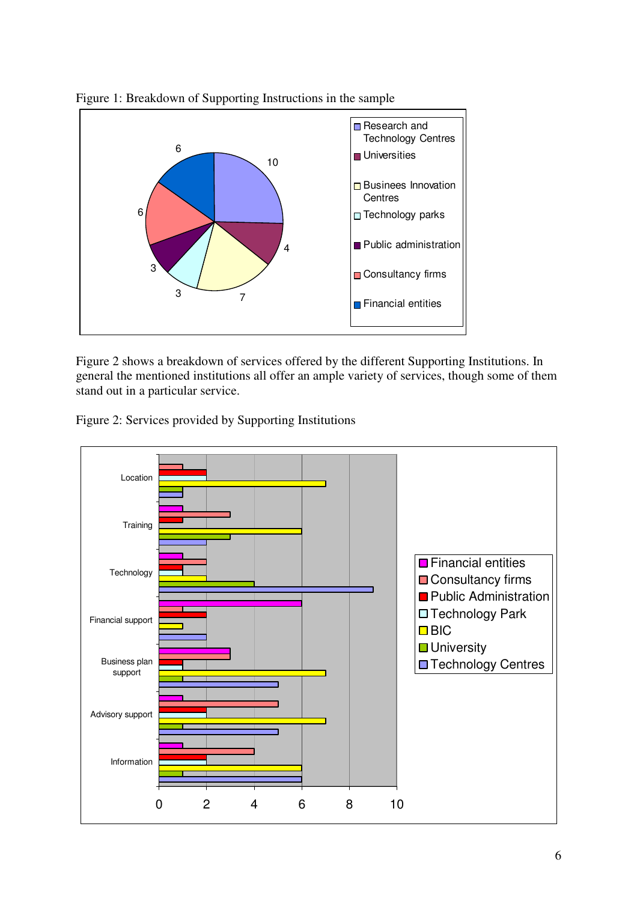

Figure 1: Breakdown of Supporting Instructions in the sample

Figure 2 shows a breakdown of services offered by the different Supporting Institutions. In general the mentioned institutions all offer an ample variety of services, though some of them stand out in a particular service.

Figure 2: Services provided by Supporting Institutions

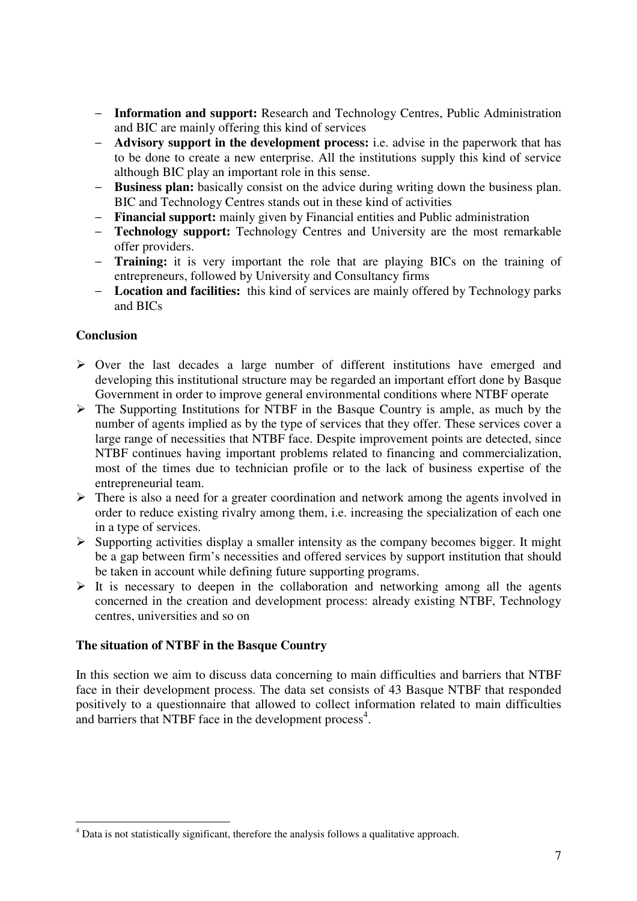- **Information and support:** Research and Technology Centres, Public Administration and BIC are mainly offering this kind of services
- **Advisory support in the development process:** i.e. advise in the paperwork that has to be done to create a new enterprise. All the institutions supply this kind of service although BIC play an important role in this sense.
- **Business plan:** basically consist on the advice during writing down the business plan. BIC and Technology Centres stands out in these kind of activities
- **Financial support:** mainly given by Financial entities and Public administration
- **Technology support:** Technology Centres and University are the most remarkable offer providers.
- **Training:** it is very important the role that are playing BICs on the training of entrepreneurs, followed by University and Consultancy firms
- **Location and facilities:** this kind of services are mainly offered by Technology parks and BICs

### **Conclusion**

- $\triangleright$  Over the last decades a large number of different institutions have emerged and developing this institutional structure may be regarded an important effort done by Basque Government in order to improve general environmental conditions where NTBF operate
- $\triangleright$  The Supporting Institutions for NTBF in the Basque Country is ample, as much by the number of agents implied as by the type of services that they offer. These services cover a large range of necessities that NTBF face. Despite improvement points are detected, since NTBF continues having important problems related to financing and commercialization, most of the times due to technician profile or to the lack of business expertise of the entrepreneurial team.
- There is also a need for a greater coordination and network among the agents involved in order to reduce existing rivalry among them, i.e. increasing the specialization of each one in a type of services.
- $\triangleright$  Supporting activities display a smaller intensity as the company becomes bigger. It might be a gap between firm's necessities and offered services by support institution that should be taken in account while defining future supporting programs.
- $\triangleright$  It is necessary to deepen in the collaboration and networking among all the agents concerned in the creation and development process: already existing NTBF, Technology centres, universities and so on

#### **The situation of NTBF in the Basque Country**

In this section we aim to discuss data concerning to main difficulties and barriers that NTBF face in their development process. The data set consists of 43 Basque NTBF that responded positively to a questionnaire that allowed to collect information related to main difficulties and barriers that NTBF face in the development process<sup>4</sup>.

<sup>&</sup>lt;sup>4</sup> Data is not statistically significant, therefore the analysis follows a qualitative approach.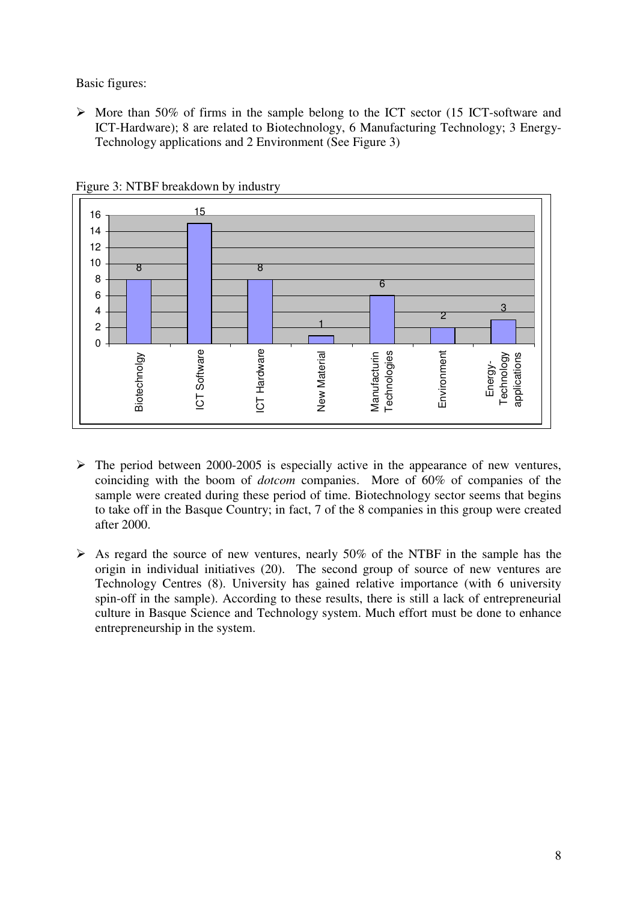Basic figures:

 $\triangleright$  More than 50% of firms in the sample belong to the ICT sector (15 ICT-software and ICT-Hardware); 8 are related to Biotechnology, 6 Manufacturing Technology; 3 Energy-Technology applications and 2 Environment (See Figure 3)



Figure 3: NTBF breakdown by industry

- $\triangleright$  The period between 2000-2005 is especially active in the appearance of new ventures, coinciding with the boom of *dotcom* companies. More of 60% of companies of the sample were created during these period of time. Biotechnology sector seems that begins to take off in the Basque Country; in fact, 7 of the 8 companies in this group were created after 2000.
- $\triangleright$  As regard the source of new ventures, nearly 50% of the NTBF in the sample has the origin in individual initiatives (20). The second group of source of new ventures are Technology Centres (8). University has gained relative importance (with 6 university spin-off in the sample). According to these results, there is still a lack of entrepreneurial culture in Basque Science and Technology system. Much effort must be done to enhance entrepreneurship in the system.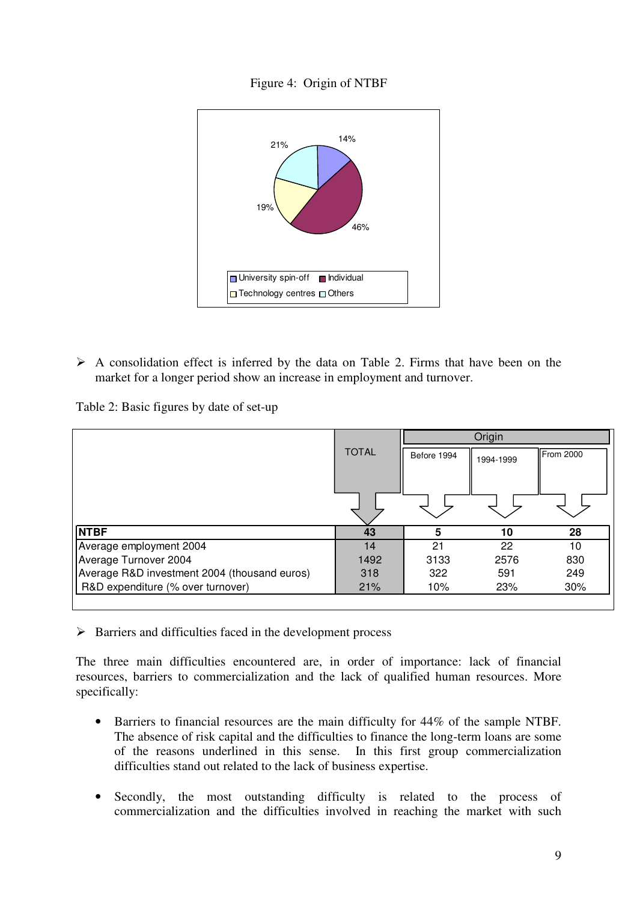



 $\triangleright$  A consolidation effect is inferred by the data on Table 2. Firms that have been on the market for a longer period show an increase in employment and turnover.

Table 2: Basic figures by date of set-up

|              | Origin      |           |           |
|--------------|-------------|-----------|-----------|
| <b>TOTAL</b> | Before 1994 | 1994-1999 | From 2000 |
|              |             |           |           |
|              |             |           |           |
|              |             |           |           |
| 43           | 5           | 10        | 28        |
| 14           | 21          | 22        | 10        |
| 1492         | 3133        | 2576      | 830       |
| 318          | 322         | 591       | 249       |
| 21%          | 10%         | 23%       | 30%       |
|              |             |           |           |

 $\triangleright$  Barriers and difficulties faced in the development process

The three main difficulties encountered are, in order of importance: lack of financial resources, barriers to commercialization and the lack of qualified human resources. More specifically:

- Barriers to financial resources are the main difficulty for 44% of the sample NTBF. The absence of risk capital and the difficulties to finance the long-term loans are some of the reasons underlined in this sense. In this first group commercialization difficulties stand out related to the lack of business expertise.
- Secondly, the most outstanding difficulty is related to the process of commercialization and the difficulties involved in reaching the market with such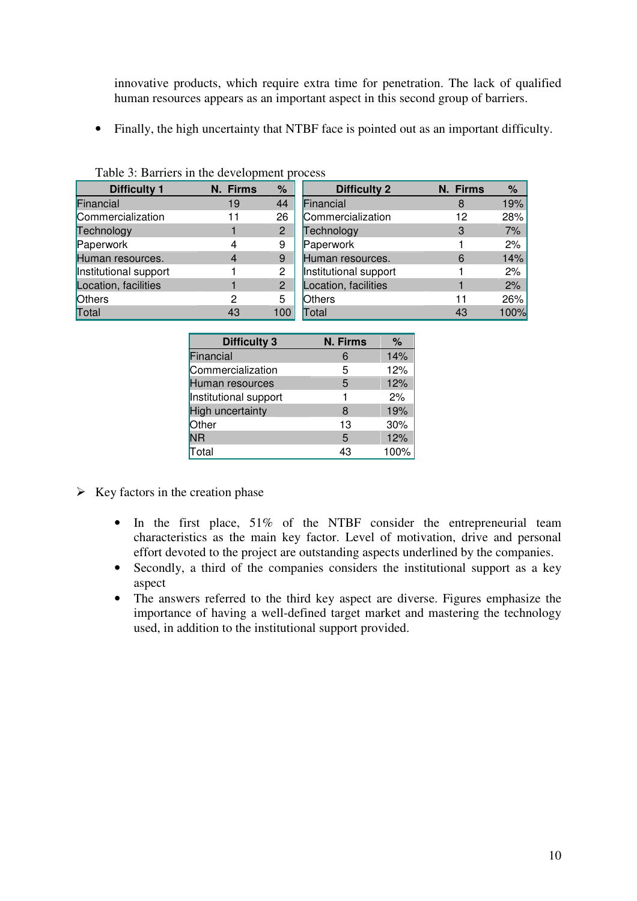innovative products, which require extra time for penetration. The lack of qualified human resources appears as an important aspect in this second group of barriers.

• Finally, the high uncertainty that NTBF face is pointed out as an important difficulty.

| <b>Difficulty 1</b>   | N. Firms | %              | <b>Difficulty 2</b>   | N. Firms | %    |
|-----------------------|----------|----------------|-----------------------|----------|------|
| Financial             | 19       | 44             | Financial             | 8        | 19%  |
| Commercialization     | 11       | 26             | Commercialization     | 12       | 28%  |
| Technology            |          | $\overline{2}$ | Technology            | 3        | 7%   |
| Paperwork             |          | 9              | Paperwork             |          | 2%   |
| Human resources.      | 4        | 9              | Human resources.      | 6        | 14%  |
| Institutional support |          | 2              | Institutional support |          | 2%   |
| Location, facilities  |          | 2              | Location, facilities  |          | 2%   |
| <b>Others</b>         | 2        | 5              | <b>Others</b>         | 11       | 26%  |
| Total                 | 43       | 100            | Total                 | 43       | 100% |

Table 3: Barriers in the development process

| <b>Difficulty 3</b>     | <b>N. Firms</b> | %    |
|-------------------------|-----------------|------|
| Financial               | 6               | 14%  |
| Commercialization       | 5               | 12%  |
| Human resources         | 5               | 12%  |
| Institutional support   |                 | 2%   |
| <b>High uncertainty</b> | 8               | 19%  |
| Other                   | 13              | 30%  |
| <b>NR</b>               | 5               | 12%  |
| Total                   | 43              | 100% |

- $\triangleright$  Key factors in the creation phase
	- In the first place, 51% of the NTBF consider the entrepreneurial team characteristics as the main key factor. Level of motivation, drive and personal effort devoted to the project are outstanding aspects underlined by the companies.
	- Secondly, a third of the companies considers the institutional support as a key aspect
	- The answers referred to the third key aspect are diverse. Figures emphasize the importance of having a well-defined target market and mastering the technology used, in addition to the institutional support provided.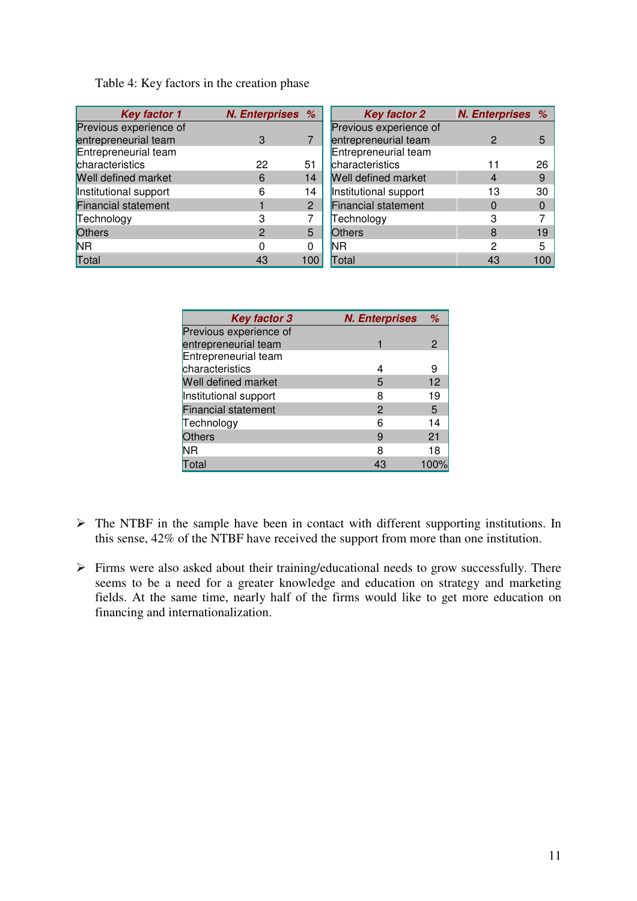Table 4: Key factors in the creation phase

| <b>Key factor 1</b>        | N. Enterprises % |                | <b>Key factor 2</b>        | N. Enterprises % |     |
|----------------------------|------------------|----------------|----------------------------|------------------|-----|
| Previous experience of     |                  |                | Previous experience of     |                  |     |
| entrepreneurial team       | 3                |                | entrepreneurial team       |                  | 5   |
| Entrepreneurial team       |                  |                | Entrepreneurial team       |                  |     |
| characteristics            | 22               | 51             | characteristics            |                  | 26  |
| Well defined market        | 6                | 14             | Well defined market        |                  | 9   |
| Institutional support      | 6                | 14             | Institutional support      | 13               | 30  |
| <b>Financial statement</b> |                  | $\overline{2}$ | <b>Financial statement</b> |                  |     |
| Technology                 |                  |                | Technology                 |                  |     |
| <b>Others</b>              | 2                | 5              | <b>Others</b>              | 8                | 19  |
| <b>NR</b>                  |                  | 0              | <b>NR</b>                  | 2                | 5   |
| Total                      | 43               | 100            | Total                      | 43               | 100 |

| <b>Key factor 3</b>        | <b>N. Enterprises</b> | %    |
|----------------------------|-----------------------|------|
| Previous experience of     |                       |      |
| entrepreneurial team       |                       |      |
| Entrepreneurial team       |                       |      |
| characteristics            |                       |      |
| Well defined market        | 5                     | 12   |
| Institutional support      | 8                     | 19   |
| <b>Financial statement</b> | 2                     | 5    |
| Technology                 | 6                     | 14   |
| <b>Others</b>              | 9                     | 21   |
| <b>NR</b>                  | 8                     | 18   |
| Total                      | 43                    | 100% |

- $\triangleright$  The NTBF in the sample have been in contact with different supporting institutions. In this sense, 42% of the NTBF have received the support from more than one institution.
- $\triangleright$  Firms were also asked about their training/educational needs to grow successfully. There seems to be a need for a greater knowledge and education on strategy and marketing fields. At the same time, nearly half of the firms would like to get more education on financing and internationalization.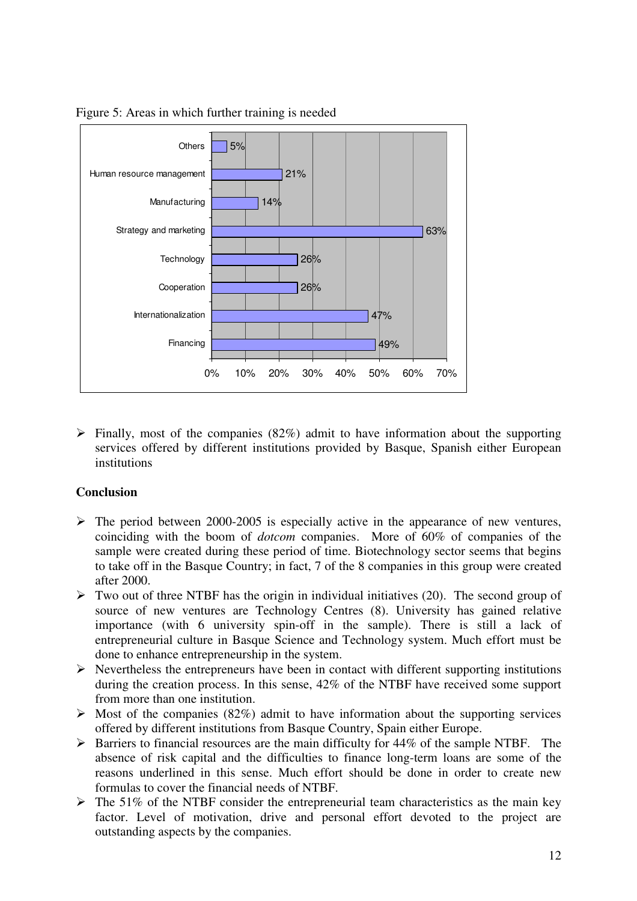

Figure 5: Areas in which further training is needed

 $\triangleright$  Finally, most of the companies (82%) admit to have information about the supporting services offered by different institutions provided by Basque, Spanish either European institutions

#### **Conclusion**

- $\triangleright$  The period between 2000-2005 is especially active in the appearance of new ventures, coinciding with the boom of *dotcom* companies. More of 60% of companies of the sample were created during these period of time. Biotechnology sector seems that begins to take off in the Basque Country; in fact, 7 of the 8 companies in this group were created after 2000.
- $\triangleright$  Two out of three NTBF has the origin in individual initiatives (20). The second group of source of new ventures are Technology Centres (8). University has gained relative importance (with 6 university spin-off in the sample). There is still a lack of entrepreneurial culture in Basque Science and Technology system. Much effort must be done to enhance entrepreneurship in the system.
- $\triangleright$  Nevertheless the entrepreneurs have been in contact with different supporting institutions during the creation process. In this sense, 42% of the NTBF have received some support from more than one institution.
- $\triangleright$  Most of the companies (82%) admit to have information about the supporting services offered by different institutions from Basque Country, Spain either Europe.
- $\triangleright$  Barriers to financial resources are the main difficulty for 44% of the sample NTBF. The absence of risk capital and the difficulties to finance long-term loans are some of the reasons underlined in this sense. Much effort should be done in order to create new formulas to cover the financial needs of NTBF.
- $\triangleright$  The 51% of the NTBF consider the entrepreneurial team characteristics as the main key factor. Level of motivation, drive and personal effort devoted to the project are outstanding aspects by the companies.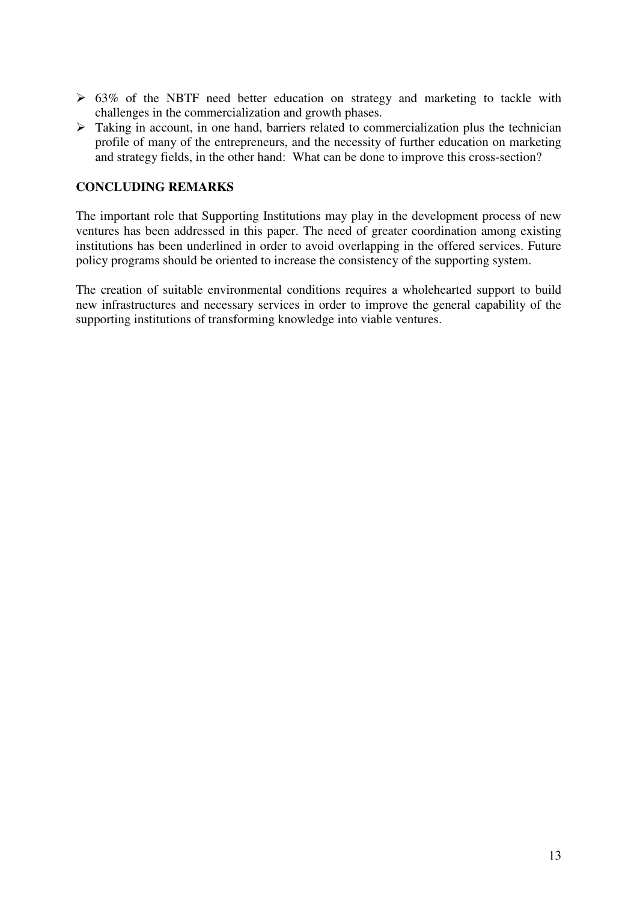- $\geq 63\%$  of the NBTF need better education on strategy and marketing to tackle with challenges in the commercialization and growth phases.
- $\triangleright$  Taking in account, in one hand, barriers related to commercialization plus the technician profile of many of the entrepreneurs, and the necessity of further education on marketing and strategy fields, in the other hand: What can be done to improve this cross-section?

### **CONCLUDING REMARKS**

The important role that Supporting Institutions may play in the development process of new ventures has been addressed in this paper. The need of greater coordination among existing institutions has been underlined in order to avoid overlapping in the offered services. Future policy programs should be oriented to increase the consistency of the supporting system.

The creation of suitable environmental conditions requires a wholehearted support to build new infrastructures and necessary services in order to improve the general capability of the supporting institutions of transforming knowledge into viable ventures.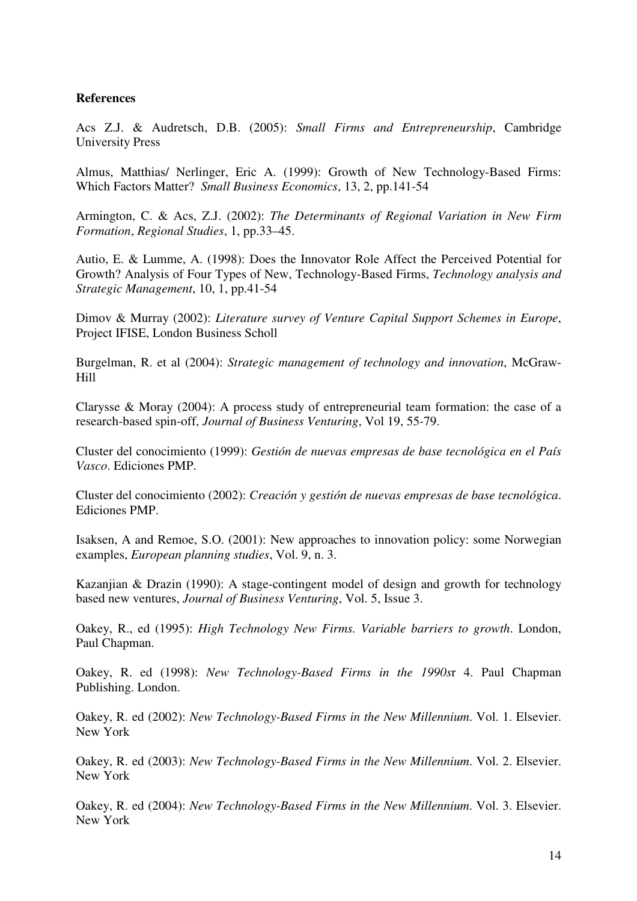#### **References**

Acs Z.J. & Audretsch, D.B. (2005): *Small Firms and Entrepreneurship*, Cambridge University Press

Almus, Matthias/ Nerlinger, Eric A. (1999): Growth of New Technology-Based Firms: Which Factors Matter? *Small Business Economics*, 13, 2, pp.141-54

Armington, C. & Acs, Z.J. (2002): *The Determinants of Regional Variation in New Firm Formation*, *Regional Studies*, 1, pp.33–45.

Autio, E. & Lumme, A. (1998): Does the Innovator Role Affect the Perceived Potential for Growth? Analysis of Four Types of New, Technology-Based Firms, *Technology analysis and Strategic Management*, 10, 1, pp.41-54

Dimov & Murray (2002): *Literature survey of Venture Capital Support Schemes in Europe*, Project IFISE, London Business Scholl

Burgelman, R. et al (2004): *Strategic management of technology and innovation*, McGraw-Hill

Clarysse & Moray (2004): A process study of entrepreneurial team formation: the case of a research-based spin-off, *Journal of Business Venturing*, Vol 19, 55-79.

Cluster del conocimiento (1999): *Gestión de nuevas empresas de base tecnológica en el País Vasco*. Ediciones PMP.

Cluster del conocimiento (2002): *Creación y gestión de nuevas empresas de base tecnológica*. Ediciones PMP.

Isaksen, A and Remoe, S.O. (2001): New approaches to innovation policy: some Norwegian examples, *European planning studies*, Vol. 9, n. 3.

Kazanjian & Drazin (1990): A stage-contingent model of design and growth for technology based new ventures, *Journal of Business Venturing*, Vol. 5, Issue 3.

Oakey, R., ed (1995): *High Technology New Firms. Variable barriers to growth*. London, Paul Chapman.

Oakey, R. ed (1998): *New Technology-Based Firms in the 1990s*r 4. Paul Chapman Publishing. London.

Oakey, R. ed (2002): *New Technology-Based Firms in the New Millennium*. Vol. 1. Elsevier. New York

Oakey, R. ed (2003): *New Technology-Based Firms in the New Millennium*. Vol. 2. Elsevier. New York

Oakey, R. ed (2004): *New Technology-Based Firms in the New Millennium*. Vol. 3. Elsevier. New York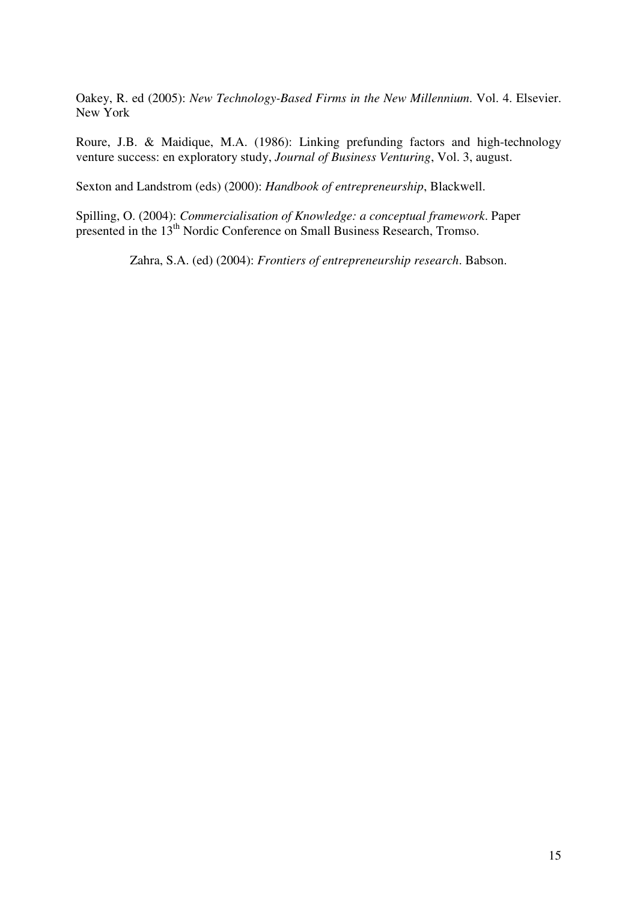Oakey, R. ed (2005): *New Technology-Based Firms in the New Millennium*. Vol. 4. Elsevier. New York

Roure, J.B. & Maidique, M.A. (1986): Linking prefunding factors and high-technology venture success: en exploratory study, *Journal of Business Venturing*, Vol. 3, august.

Sexton and Landstrom (eds) (2000): *Handbook of entrepreneurship*, Blackwell.

Spilling, O. (2004): *Commercialisation of Knowledge: a conceptual framework*. Paper presented in the 13<sup>th</sup> Nordic Conference on Small Business Research, Tromso.

Zahra, S.A. (ed) (2004): *Frontiers of entrepreneurship research*. Babson.